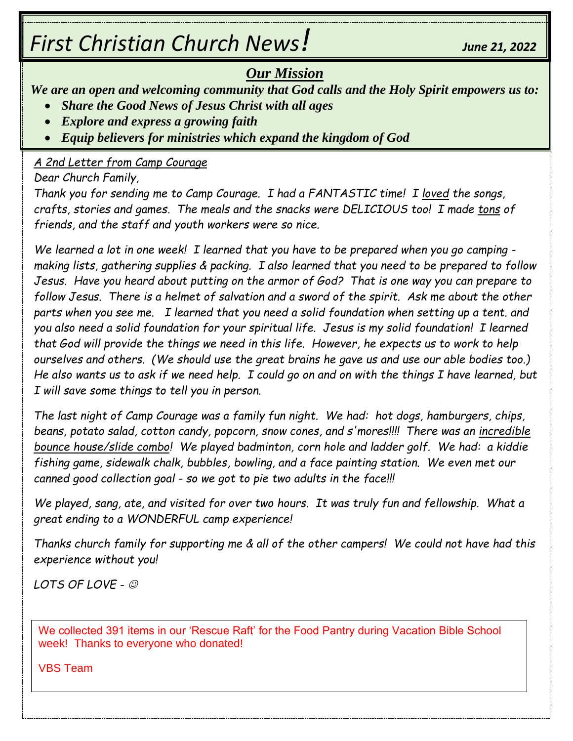# *First Christian Church News! June 21, <sup>2022</sup>*

# *Our Mission*

*We are an open and welcoming community that God calls and the Holy Spirit empowers us to:*

- *Share the Good News of Jesus Christ with all ages*
- *Explore and express a growing faith*
- *Equip believers for ministries which expand the kingdom of God*

#### *A 2nd Letter from Camp Courage*

*Dear Church Family,*

*Thank you for sending me to Camp Courage. I had a FANTASTIC time! I loved the songs, crafts, stories and games. The meals and the snacks were DELICIOUS too! I made tons of friends, and the staff and youth workers were so nice.* 

*We learned a lot in one week! I learned that you have to be prepared when you go camping making lists, gathering supplies & packing. I also learned that you need to be prepared to follow Jesus. Have you heard about putting on the armor of God? That is one way you can prepare to follow Jesus. There is a helmet of salvation and a sword of the spirit. Ask me about the other parts when you see me. I learned that you need a solid foundation when setting up a tent. and you also need a solid foundation for your spiritual life. Jesus is my solid foundation! I learned that God will provide the things we need in this life. However, he expects us to work to help ourselves and others. (We should use the great brains he gave us and use our able bodies too.) He also wants us to ask if we need help. I could go on and on with the things I have learned, but I will save some things to tell you in person.*

*The last night of Camp Courage was a family fun night. We had: hot dogs, hamburgers, chips, beans, potato salad, cotton candy, popcorn, snow cones, and s'mores!!!! There was an incredible bounce house/slide combo! We played badminton, corn hole and ladder golf. We had: a kiddie fishing game, sidewalk chalk, bubbles, bowling, and a face painting station. We even met our canned good collection goal - so we got to pie two adults in the face!!!*

*We played, sang, ate, and visited for over two hours. It was truly fun and fellowship. What a great ending to a WONDERFUL camp experience!* 

*Thanks church family for supporting me & all of the other campers! We could not have had this experience without you!*

*LOTS OF LOVE -* ☺

We collected 391 items in our 'Rescue Raft' for the Food Pantry during Vacation Bible School week! Thanks to everyone who donated!

VBS Team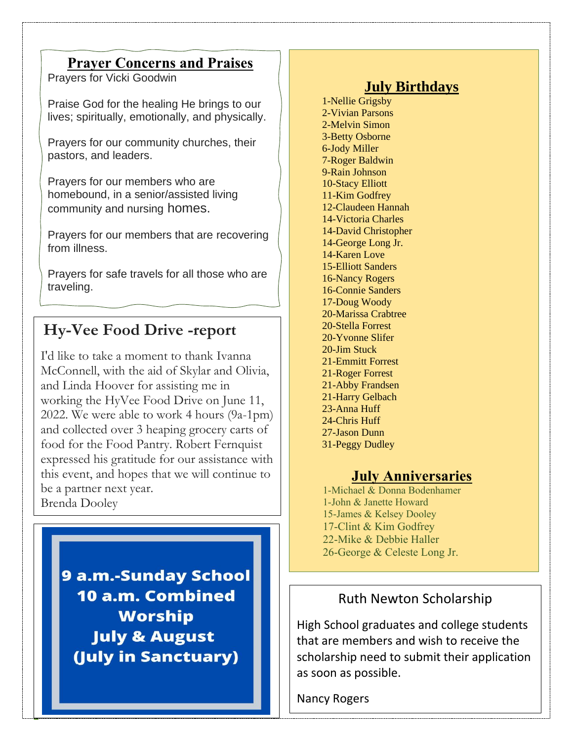#### **Prayer Concerns and Praises**

Prayers for Vicki Goodwin

Praise God for the healing He brings to our lives; spiritually, emotionally, and physically.

Prayers for our community churches, their pastors, and leaders.

Prayers for our members who are homebound, in a senior/assisted living community and nursing homes.

Prayers for our members that are recovering from illness.

Prayers for safe travels for all those who are traveling.

# **Hy-Vee Food Drive -report**

I'd like to take a moment to thank Ivanna McConnell, with the aid of Skylar and Olivia, and Linda Hoover for assisting me in working the HyVee Food Drive on June 11, 2022. We were able to work 4 hours (9a-1pm) and collected over 3 heaping grocery carts of food for the Food Pantry. Robert Fernquist expressed his gratitude for our assistance with this event, and hopes that we will continue to be a partner next year. Brenda Dooley

9 a.m.-Sunday School 10 a.m. Combined **Worship July & August** (July in Sanctuary)

**2**

# **July Birthdays**

1-Nellie Grigsby 2-Vivian Parsons 2-Melvin Simon 3-Betty Osborne 6-Jody Miller 7-Roger Baldwin 9-Rain Johnson 10-Stacy Elliott 11-Kim Godfrey 12-Claudeen Hannah 14-Victoria Charles 14-David Christopher 14-George Long Jr. 14-Karen Love 15-Elliott Sanders 16-Nancy Rogers 16-Connie Sanders 17-Doug Woody 20-Marissa Crabtree 20-Stella Forrest 20-Yvonne Slifer 20-Jim Stuck 21-Emmitt Forrest 21-Roger Forrest 21-Abby Frandsen 21-Harry Gelbach 23-Anna Huff 24-Chris Huff 27-Jason Dunn 31-Peggy Dudley

#### **July Anniversaries**

1-Michael & Donna Bodenhamer 1-John & Janette Howard 15-James & Kelsey Dooley 17-Clint & Kim Godfrey 22-Mike & Debbie Haller 26-George & Celeste Long Jr.

#### Ruth Newton Scholarship

High School graduates and college students that are members and wish to receive the scholarship need to submit their application as soon as possible.

Nancy Rogers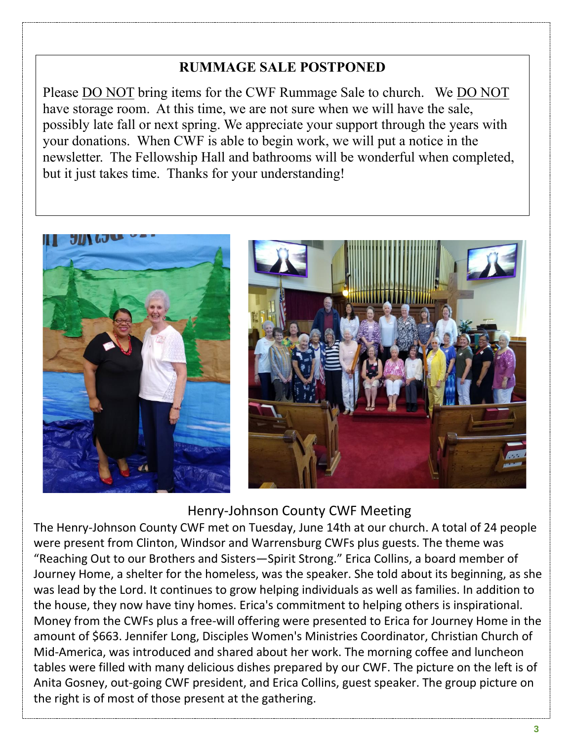### **RUMMAGE SALE POSTPONED**

Please DO NOT bring items for the CWF Rummage Sale to church. We DO NOT have storage room. At this time, we are not sure when we will have the sale, possibly late fall or next spring. We appreciate your support through the years with your donations. When CWF is able to begin work, we will put a notice in the newsletter. The Fellowship Hall and bathrooms will be wonderful when completed, but it just takes time. Thanks for your understanding!



#### Henry-Johnson County CWF Meeting

The Henry-Johnson County CWF met on Tuesday, June 14th at our church. A total of 24 people were present from Clinton, Windsor and Warrensburg CWFs plus guests. The theme was "Reaching Out to our Brothers and Sisters—Spirit Strong." Erica Collins, a board member of Journey Home, a shelter for the homeless, was the speaker. She told about its beginning, as she was lead by the Lord. It continues to grow helping individuals as well as families. In addition to the house, they now have tiny homes. Erica's commitment to helping others is inspirational. Money from the CWFs plus a free-will offering were presented to Erica for Journey Home in the amount of \$663. Jennifer Long, Disciples Women's Ministries Coordinator, Christian Church of Mid-America, was introduced and shared about her work. The morning coffee and luncheon tables were filled with many delicious dishes prepared by our CWF. The picture on the left is of Anita Gosney, out-going CWF president, and Erica Collins, guest speaker. The group picture on the right is of most of those present at the gathering.